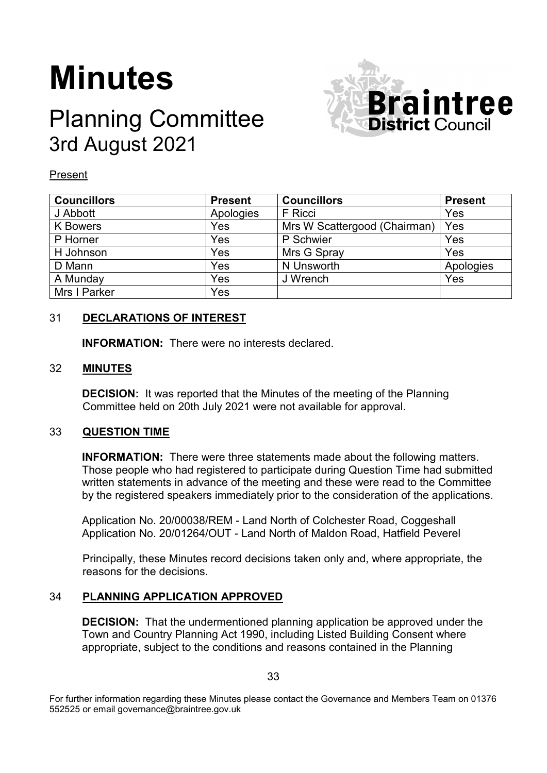# **Minutes**

# Planning Committee 3rd August 2021



Present

| <b>Councillors</b> | <b>Present</b> | <b>Councillors</b>           | <b>Present</b> |
|--------------------|----------------|------------------------------|----------------|
| J Abbott           | Apologies      | F Ricci                      | Yes            |
| <b>K</b> Bowers    | Yes            | Mrs W Scattergood (Chairman) | Yes            |
| P Horner           | Yes            | P Schwier                    | Yes            |
| H Johnson          | Yes            | Mrs G Spray                  | Yes            |
| D Mann             | Yes            | N Unsworth                   | Apologies      |
| A Munday           | Yes            | J Wrench                     | Yes            |
| Mrs I Parker       | Yes            |                              |                |

# 31 **DECLARATIONS OF INTEREST**

**INFORMATION:** There were no interests declared.

# 32 **MINUTES**

**DECISION:** It was reported that the Minutes of the meeting of the Planning Committee held on 20th July 2021 were not available for approval.

# 33 **QUESTION TIME**

**INFORMATION:** There were three statements made about the following matters. Those people who had registered to participate during Question Time had submitted written statements in advance of the meeting and these were read to the Committee by the registered speakers immediately prior to the consideration of the applications.

Application No. 20/00038/REM - Land North of Colchester Road, Coggeshall Application No. 20/01264/OUT - Land North of Maldon Road, Hatfield Peverel

Principally, these Minutes record decisions taken only and, where appropriate, the reasons for the decisions.

# 34 **PLANNING APPLICATION APPROVED**

**DECISION:** That the undermentioned planning application be approved under the Town and Country Planning Act 1990, including Listed Building Consent where appropriate, subject to the conditions and reasons contained in the Planning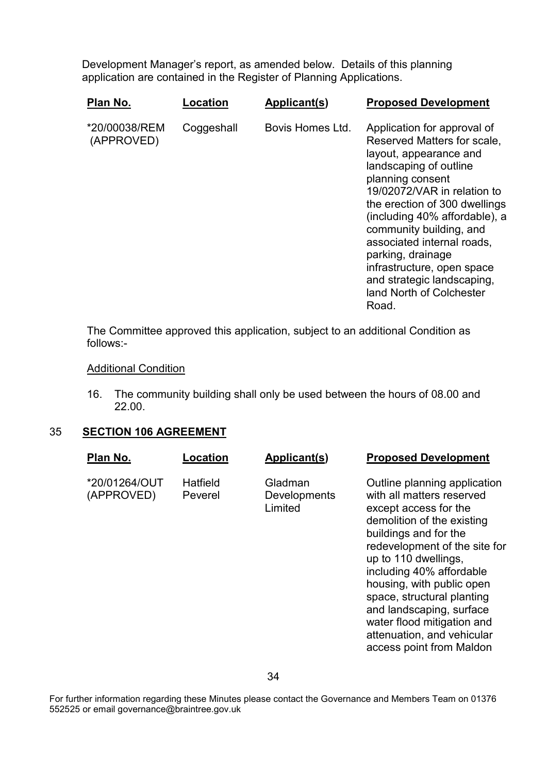Development Manager's report, as amended below. Details of this planning application are contained in the Register of Planning Applications.

| Plan No.                    | Location   | Applicant(s)     | <b>Proposed Development</b>                                                                                                                                                                                                                                                                                                                                                                                        |
|-----------------------------|------------|------------------|--------------------------------------------------------------------------------------------------------------------------------------------------------------------------------------------------------------------------------------------------------------------------------------------------------------------------------------------------------------------------------------------------------------------|
| *20/00038/REM<br>(APPROVED) | Coggeshall | Bovis Homes Ltd. | Application for approval of<br>Reserved Matters for scale,<br>layout, appearance and<br>landscaping of outline<br>planning consent<br>19/02072/VAR in relation to<br>the erection of 300 dwellings<br>(including 40% affordable), a<br>community building, and<br>associated internal roads,<br>parking, drainage<br>infrastructure, open space<br>and strategic landscaping,<br>land North of Colchester<br>Road. |

The Committee approved this application, subject to an additional Condition as follows:-

# **Additional Condition**

16. The community building shall only be used between the hours of 08.00 and 22.00.

# 35 **SECTION 106 AGREEMENT**

| Plan No.                    | <b>Location</b>     | Applicant(s)                       | <b>Proposed Development</b>                                                                                                                                                                                                                                                                                                                                                                                   |
|-----------------------------|---------------------|------------------------------------|---------------------------------------------------------------------------------------------------------------------------------------------------------------------------------------------------------------------------------------------------------------------------------------------------------------------------------------------------------------------------------------------------------------|
| *20/01264/OUT<br>(APPROVED) | Hatfield<br>Peverel | Gladman<br>Developments<br>Limited | Outline planning application<br>with all matters reserved<br>except access for the<br>demolition of the existing<br>buildings and for the<br>redevelopment of the site for<br>up to 110 dwellings,<br>including 40% affordable<br>housing, with public open<br>space, structural planting<br>and landscaping, surface<br>water flood mitigation and<br>attenuation, and vehicular<br>access point from Maldon |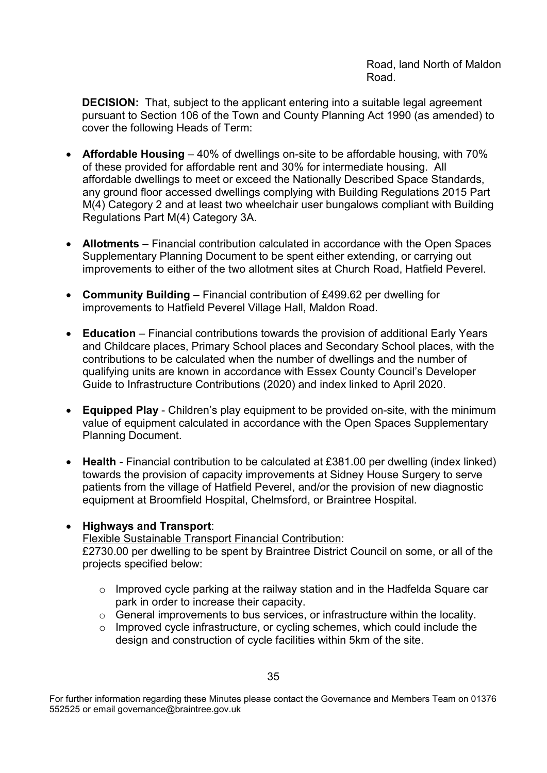Road, land North of Maldon Road.

**DECISION:** That, subject to the applicant entering into a suitable legal agreement pursuant to Section 106 of the Town and County Planning Act 1990 (as amended) to cover the following Heads of Term:

- **Affordable Housing** 40% of dwellings on-site to be affordable housing, with 70% of these provided for affordable rent and 30% for intermediate housing. All affordable dwellings to meet or exceed the Nationally Described Space Standards, any ground floor accessed dwellings complying with Building Regulations 2015 Part M(4) Category 2 and at least two wheelchair user bungalows compliant with Building Regulations Part M(4) Category 3A.
- **Allotments** Financial contribution calculated in accordance with the Open Spaces Supplementary Planning Document to be spent either extending, or carrying out improvements to either of the two allotment sites at Church Road, Hatfield Peverel.
- **Community Building** Financial contribution of £499.62 per dwelling for improvements to Hatfield Peverel Village Hall, Maldon Road.
- **Education** Financial contributions towards the provision of additional Early Years and Childcare places, Primary School places and Secondary School places, with the contributions to be calculated when the number of dwellings and the number of qualifying units are known in accordance with Essex County Council's Developer Guide to Infrastructure Contributions (2020) and index linked to April 2020.
- **Equipped Play** Children's play equipment to be provided on-site, with the minimum value of equipment calculated in accordance with the Open Spaces Supplementary Planning Document.
- **Health** Financial contribution to be calculated at £381.00 per dwelling (index linked) towards the provision of capacity improvements at Sidney House Surgery to serve patients from the village of Hatfield Peverel, and/or the provision of new diagnostic equipment at Broomfield Hospital, Chelmsford, or Braintree Hospital.

# • **Highways and Transport**:

Flexible Sustainable Transport Financial Contribution:

£2730.00 per dwelling to be spent by Braintree District Council on some, or all of the projects specified below:

- o Improved cycle parking at the railway station and in the Hadfelda Square car park in order to increase their capacity.
- o General improvements to bus services, or infrastructure within the locality.
- o Improved cycle infrastructure, or cycling schemes, which could include the design and construction of cycle facilities within 5km of the site.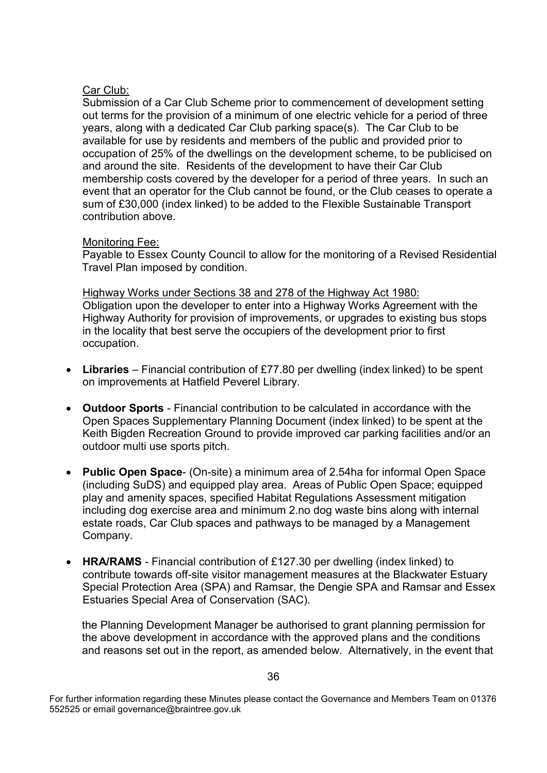# Car Club:

Submission of a Car Club Scheme prior to commencement of development setting out terms for the provision of a minimum of one electric vehicle for a period of three years, along with a dedicated Car Club parking space(s). The Car Club to be available for use by residents and members of the public and provided prior to occupation of 25% of the dwellings on the development scheme, to be publicised on and around the site. Residents of the development to have their Car Club membership costs covered by the developer for a period of three years. In such an event that an operator for the Club cannot be found, or the Club ceases to operate a sum of £30,000 (index linked) to be added to the Flexible Sustainable Transport contribution above.

#### Monitoring Fee:

Payable to Essex County Council to allow for the monitoring of a Revised Residential Travel Plan imposed by condition.

Highway Works under Sections 38 and 278 of the Highway Act 1980: Obligation upon the developer to enter into a Highway Works Agreement with the Highway Authority for provision of improvements, or upgrades to existing bus stops in the locality that best serve the occupiers of the development prior to first occupation.

- **Libraries**  Financial contribution of £77.80 per dwelling (index linked) to be spent on improvements at Hatfield Peverel Library.
- **Outdoor Sports** Financial contribution to be calculated in accordance with the Open Spaces Supplementary Planning Document (index linked) to be spent at the Keith Bigden Recreation Ground to provide improved car parking facilities and/or an outdoor multi use sports pitch.
- **Public Open Space** (On-site) a minimum area of 2.54ha for informal Open Space (including SuDS) and equipped play area. Areas of Public Open Space; equipped play and amenity spaces, specified Habitat Regulations Assessment mitigation including dog exercise area and minimum 2.no dog waste bins along with internal estate roads, Car Club spaces and pathways to be managed by a Management Company.
- **HRA/RAMS** Financial contribution of £127.30 per dwelling (index linked) to contribute towards off-site visitor management measures at the Blackwater Estuary Special Protection Area (SPA) and Ramsar, the Dengie SPA and Ramsar and Essex Estuaries Special Area of Conservation (SAC).

the Planning Development Manager be authorised to grant planning permission for the above development in accordance with the approved plans and the conditions and reasons set out in the report, as amended below. Alternatively, in the event that

For further information regarding these Minutes please contact the Governance and Members Team on 01376 552525 or email governance@braintree.gov.uk